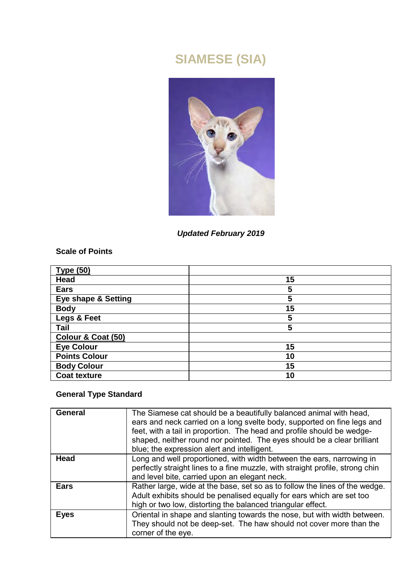# **SIAMESE (SIA)**



*Updated February 2019* 

**Scale of Points** 

| <b>Type (50)</b>     |    |
|----------------------|----|
| Head                 | 15 |
| Ears                 | 5  |
| Eye shape & Setting  | 5  |
| Body                 | 15 |
| Legs & Feet          | 5  |
| Tail                 | 5  |
| Colour & Coat (50)   |    |
| <b>Eye Colour</b>    | 15 |
| <b>Points Colour</b> | 10 |
| <b>Body Colour</b>   | 15 |
| <b>Coat texture</b>  | 10 |

# **General Type Standard**

| General | The Siamese cat should be a beautifully balanced animal with head.<br>ears and neck carried on a long svelte body, supported on fine legs and<br>feet, with a tail in proportion. The head and profile should be wedge-<br>shaped, neither round nor pointed. The eyes should be a clear brilliant<br>blue; the expression alert and intelligent. |
|---------|---------------------------------------------------------------------------------------------------------------------------------------------------------------------------------------------------------------------------------------------------------------------------------------------------------------------------------------------------|
| Head    | Long and well proportioned, with width between the ears, narrowing in<br>perfectly straight lines to a fine muzzle, with straight profile, strong chin<br>and level bite, carried upon an elegant neck.                                                                                                                                           |
| Ears    | Rather large, wide at the base, set so as to follow the lines of the wedge.<br>Adult exhibits should be penalised equally for ears which are set too<br>high or two low, distorting the balanced triangular effect.                                                                                                                               |
| Eyes    | Oriental in shape and slanting towards the nose, but with width between.<br>They should not be deep-set. The haw should not cover more than the<br>corner of the eye.                                                                                                                                                                             |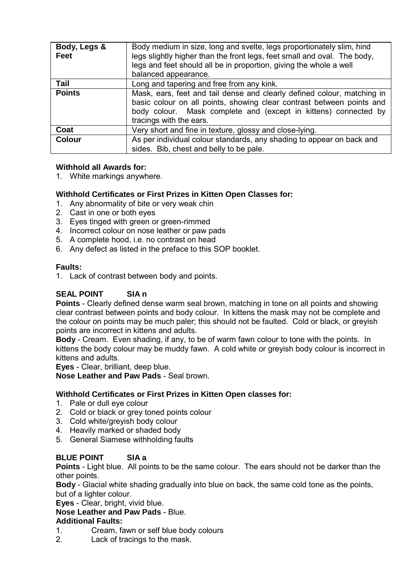| Body, Legs &<br>Feet | Body medium in size, long and svelte, legs proportionately slim, hind<br>legs slightly higher than the front legs, feet small and oval. The body,<br>legs and feet should all be in proportion, giving the whole a well<br>balanced appearance. |
|----------------------|-------------------------------------------------------------------------------------------------------------------------------------------------------------------------------------------------------------------------------------------------|
| Tail                 | Long and tapering and free from any kink.                                                                                                                                                                                                       |
| <b>Points</b>        | Mask, ears, feet and tail dense and clearly defined colour, matching in<br>basic colour on all points, showing clear contrast between points and<br>body colour. Mask complete and (except in kittens) connected by<br>tracings with the ears.  |
| Coat                 | Very short and fine in texture, glossy and close-lying.                                                                                                                                                                                         |
| <b>Colour</b>        | As per individual colour standards, any shading to appear on back and<br>sides. Bib, chest and belly to be pale.                                                                                                                                |

### **Withhold all Awards for:**

1. White markings anywhere.

#### **Withhold Certificates or First Prizes in Kitten Open Classes for:**

- 1. Any abnormality of bite or very weak chin
- 2. Cast in one or both eyes
- 3. Eyes tinged with green or green-rimmed
- 4. Incorrect colour on nose leather or paw pads
- 5. A complete hood, i.e. no contrast on head
- 6. Any defect as listed in the preface to this SOP booklet.

#### **Faults:**

1. Lack of contrast between body and points.

# **SEAL POINT SIA n**

**Points** - Clearly defined dense warm seal brown, matching in tone on all points and showing clear contrast between points and body colour. In kittens the mask may not be complete and the colour on points may be much paler; this should not be faulted. Cold or black, or greyish points are incorrect in kittens and adults.

**Body** - Cream. Even shading, if any, to be of warm fawn colour to tone with the points. In kittens the body colour may be muddy fawn. A cold white or greyish body colour is incorrect in kittens and adults.

**Eyes** - Clear, brilliant, deep blue.

**Nose Leather and Paw Pads** - Seal brown.

#### **Withhold Certificates or First Prizes in Kitten Open classes for:**

- 1. Pale or dull eye colour
- 2. Cold or black or grey toned points colour
- 3. Cold white/greyish body colour
- 4. Heavily marked or shaded body
- 5. General Siamese withholding faults

### **BLUE POINT SIA a**

**Points** - Light blue. All points to be the same colour. The ears should not be darker than the other points.

**Body** - Glacial white shading gradually into blue on back, the same cold tone as the points, but of a lighter colour.

**Eyes** - Clear, bright, vivid blue.

**Nose Leather and Paw Pads** - Blue.

#### **Additional Faults:**

- 1. Cream, fawn or self blue body colours<br>2 Lack of tracings to the mask
- Lack of tracings to the mask.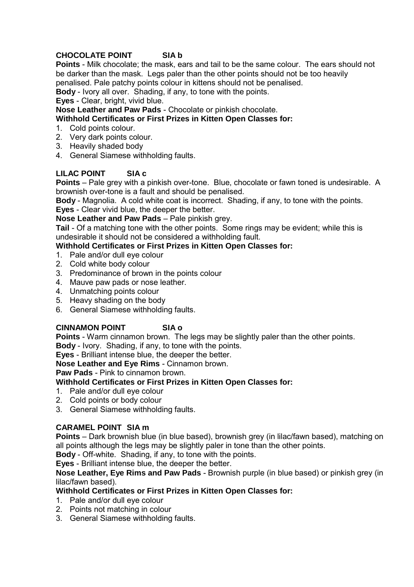# **CHOCOLATE POINT SIA b**

**Points** - Milk chocolate; the mask, ears and tail to be the same colour. The ears should not be darker than the mask. Legs paler than the other points should not be too heavily penalised. Pale patchy points colour in kittens should not be penalised.

**Body** - Ivory all over. Shading, if any, to tone with the points.

# **Eyes** - Clear, bright, vivid blue.

**Nose Leather and Paw Pads** - Chocolate or pinkish chocolate.

# **Withhold Certificates or First Prizes in Kitten Open Classes for:**

- 1. Cold points colour.
- 2. Very dark points colour.
- 3. Heavily shaded body
- 4. General Siamese withholding faults.

# **LILAC POINT SIA c**

**Points** – Pale grey with a pinkish over-tone. Blue, chocolate or fawn toned is undesirable. A brownish over-tone is a fault and should be penalised.

**Body** - Magnolia. A cold white coat is incorrect. Shading, if any, to tone with the points.

**Eyes** - Clear vivid blue, the deeper the better.

**Nose Leather and Paw Pads** – Pale pinkish grey.

**Tail** - Of a matching tone with the other points. Some rings may be evident; while this is undesirable it should not be considered a withholding fault.

# **Withhold Certificates or First Prizes in Kitten Open Classes for:**

- 1. Pale and/or dull eye colour
- 2. Cold white body colour
- 3. Predominance of brown in the points colour
- 4. Mauve paw pads or nose leather.
- 4. Unmatching points colour
- 5. Heavy shading on the body
- 6. General Siamese withholding faults.

# **CINNAMON POINT SIA o**

**Points** - Warm cinnamon brown. The legs may be slightly paler than the other points. **Body** - Ivory. Shading, if any, to tone with the points.

**Eyes** - Brilliant intense blue, the deeper the better.

**Nose Leather and Eye Rims** - Cinnamon brown.

**Paw Pads** - Pink to cinnamon brown.

# **Withhold Certificates or First Prizes in Kitten Open Classes for:**

- 1. Pale and/or dull eye colour
- 2. Cold points or body colour
- 3. General Siamese withholding faults.

# **CARAMEL POINT SIA m**

**Points** – Dark brownish blue (in blue based), brownish grey (in lilac/fawn based), matching on all points although the legs may be slightly paler in tone than the other points.

**Body** - Off-white. Shading, if any, to tone with the points.

**Eyes** - Brilliant intense blue, the deeper the better.

**Nose Leather, Eye Rims and Paw Pads** - Brownish purple (in blue based) or pinkish grey (in lilac/fawn based).

# **Withhold Certificates or First Prizes in Kitten Open Classes for:**

- 1. Pale and/or dull eye colour
- 2. Points not matching in colour
- 3. General Siamese withholding faults.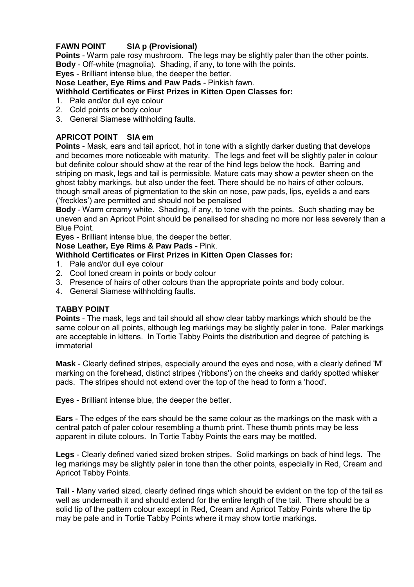# **FAWN POINT SIA p (Provisional)**

**Points** - Warm pale rosy mushroom. The legs may be slightly paler than the other points. **Body** - Off-white (magnolia). Shading, if any, to tone with the points.

**Eyes** - Brilliant intense blue, the deeper the better.

**Nose Leather, Eye Rims and Paw Pads** - Pinkish fawn.

# **Withhold Certificates or First Prizes in Kitten Open Classes for:**

- 1. Pale and/or dull eye colour
- 2. Cold points or body colour
- 3. General Siamese withholding faults.

# **APRICOT POINT SIA em**

**Points** - Mask, ears and tail apricot, hot in tone with a slightly darker dusting that develops and becomes more noticeable with maturity. The legs and feet will be slightly paler in colour but definite colour should show at the rear of the hind legs below the hock. Barring and striping on mask, legs and tail is permissible. Mature cats may show a pewter sheen on the ghost tabby markings, but also under the feet. There should be no hairs of other colours, though small areas of pigmentation to the skin on nose, paw pads, lips, eyelids a and ears ('freckles') are permitted and should not be penalised

**Body** - Warm creamy white. Shading, if any, to tone with the points. Such shading may be uneven and an Apricot Point should be penalised for shading no more nor less severely than a Blue Point.

**Eyes** - Brilliant intense blue, the deeper the better.

#### **Nose Leather, Eye Rims & Paw Pads** - Pink.

# **Withhold Certificates or First Prizes in Kitten Open Classes for:**

- 1. Pale and/or dull eye colour
- 2. Cool toned cream in points or body colour
- 3. Presence of hairs of other colours than the appropriate points and body colour.
- 4. General Siamese withholding faults.

### **TABBY POINT**

**Points** - The mask, legs and tail should all show clear tabby markings which should be the same colour on all points, although leg markings may be slightly paler in tone. Paler markings are acceptable in kittens. In Tortie Tabby Points the distribution and degree of patching is immaterial

**Mask** - Clearly defined stripes, especially around the eyes and nose, with a clearly defined 'M' marking on the forehead, distinct stripes ('ribbons') on the cheeks and darkly spotted whisker pads. The stripes should not extend over the top of the head to form a 'hood'.

**Eyes** - Brilliant intense blue, the deeper the better.

**Ears** - The edges of the ears should be the same colour as the markings on the mask with a central patch of paler colour resembling a thumb print. These thumb prints may be less apparent in dilute colours. In Tortie Tabby Points the ears may be mottled.

**Legs** - Clearly defined varied sized broken stripes. Solid markings on back of hind legs. The leg markings may be slightly paler in tone than the other points, especially in Red, Cream and Apricot Tabby Points.

**Tail** - Many varied sized, clearly defined rings which should be evident on the top of the tail as well as underneath it and should extend for the entire length of the tail. There should be a solid tip of the pattern colour except in Red, Cream and Apricot Tabby Points where the tip may be pale and in Tortie Tabby Points where it may show tortie markings.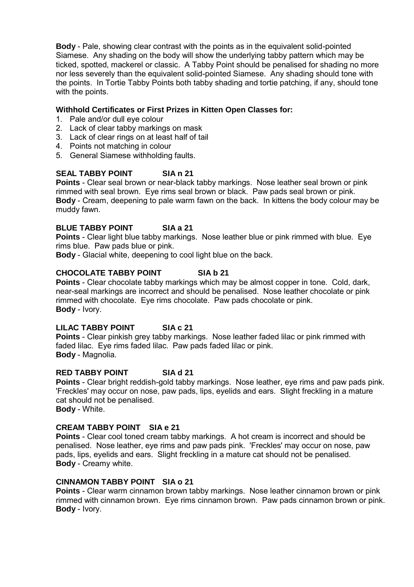**Body** - Pale, showing clear contrast with the points as in the equivalent solid-pointed Siamese. Any shading on the body will show the underlying tabby pattern which may be ticked, spotted, mackerel or classic. A Tabby Point should be penalised for shading no more nor less severely than the equivalent solid-pointed Siamese. Any shading should tone with the points. In Tortie Tabby Points both tabby shading and tortie patching, if any, should tone with the points.

#### **Withhold Certificates or First Prizes in Kitten Open Classes for:**

- 1. Pale and/or dull eye colour
- 2. Lack of clear tabby markings on mask
- 3. Lack of clear rings on at least half of tail
- 4. Points not matching in colour
- 5. General Siamese withholding faults.

# **SEAL TABBY POINT SIA n 21**

**Points** - Clear seal brown or near-black tabby markings. Nose leather seal brown or pink rimmed with seal brown. Eye rims seal brown or black. Paw pads seal brown or pink. **Body** - Cream, deepening to pale warm fawn on the back. In kittens the body colour may be muddy fawn.

#### **BLUE TABBY POINT SIA a 21**

**Points** - Clear light blue tabby markings. Nose leather blue or pink rimmed with blue. Eye rims blue. Paw pads blue or pink.

**Body** - Glacial white, deepening to cool light blue on the back.

# **CHOCOLATE TABBY POINT SIA b 21**

**Points** - Clear chocolate tabby markings which may be almost copper in tone. Cold, dark, near-seal markings are incorrect and should be penalised. Nose leather chocolate or pink rimmed with chocolate. Eye rims chocolate. Paw pads chocolate or pink. **Body** - Ivory.

# **LILAC TABBY POINT SIA c 21**

**Points** - Clear pinkish grey tabby markings. Nose leather faded lilac or pink rimmed with faded lilac. Eye rims faded lilac. Paw pads faded lilac or pink. **Body** - Magnolia.

#### **RED TABBY POINT SIA d 21**

**Points** - Clear bright reddish-gold tabby markings. Nose leather, eye rims and paw pads pink. 'Freckles' may occur on nose, paw pads, lips, eyelids and ears. Slight freckling in a mature cat should not be penalised.

**Body** - White.

#### **CREAM TABBY POINT SIA e 21**

**Points** - Clear cool toned cream tabby markings. A hot cream is incorrect and should be penalised. Nose leather, eye rims and paw pads pink. 'Freckles' may occur on nose, paw pads, lips, eyelids and ears. Slight freckling in a mature cat should not be penalised. **Body** - Creamy white.

# **CINNAMON TABBY POINT SIA o 21**

**Points** - Clear warm cinnamon brown tabby markings. Nose leather cinnamon brown or pink rimmed with cinnamon brown. Eye rims cinnamon brown. Paw pads cinnamon brown or pink. **Body** - Ivory.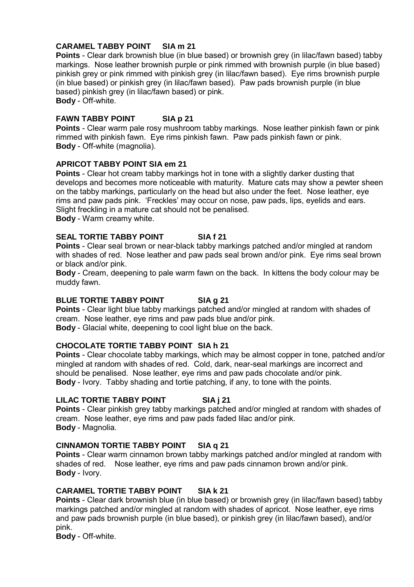# **CARAMEL TABBY POINT SIA m 21**

**Points** - Clear dark brownish blue (in blue based) or brownish grey (in lilac/fawn based) tabby markings. Nose leather brownish purple or pink rimmed with brownish purple (in blue based) pinkish grey or pink rimmed with pinkish grey (in lilac/fawn based). Eye rims brownish purple (in blue based) or pinkish grey (in lilac/fawn based). Paw pads brownish purple (in blue based) pinkish grey (in lilac/fawn based) or pink. **Body** - Off-white.

### **FAWN TABBY POINT SIA p 21**

**Points** - Clear warm pale rosy mushroom tabby markings. Nose leather pinkish fawn or pink rimmed with pinkish fawn. Eye rims pinkish fawn. Paw pads pinkish fawn or pink. **Body** - Off-white (magnolia).

#### **APRICOT TABBY POINT SIA em 21**

**Points** - Clear hot cream tabby markings hot in tone with a slightly darker dusting that develops and becomes more noticeable with maturity. Mature cats may show a pewter sheen on the tabby markings, particularly on the head but also under the feet. Nose leather, eye rims and paw pads pink. 'Freckles' may occur on nose, paw pads, lips, eyelids and ears. Slight freckling in a mature cat should not be penalised.

**Body** - Warm creamy white.

# **SEAL TORTIE TABBY POINT SIA f 21**

**Points** - Clear seal brown or near-black tabby markings patched and/or mingled at random with shades of red. Nose leather and paw pads seal brown and/or pink. Eye rims seal brown or black and/or pink.

**Body** - Cream, deepening to pale warm fawn on the back. In kittens the body colour may be muddy fawn.

# **BLUE TORTIE TABBY POINT SIA g 21**

**Points** - Clear light blue tabby markings patched and/or mingled at random with shades of cream. Nose leather, eye rims and paw pads blue and/or pink.

**Body** - Glacial white, deepening to cool light blue on the back.

# **CHOCOLATE TORTIE TABBY POINT SIA h 21**

**Points** - Clear chocolate tabby markings, which may be almost copper in tone, patched and/or mingled at random with shades of red. Cold, dark, near-seal markings are incorrect and should be penalised. Nose leather, eye rims and paw pads chocolate and/or pink. **Body** - Ivory. Tabby shading and tortie patching, if any, to tone with the points.

# **LILAC TORTIE TABBY POINT SIA j 21**

**Points** - Clear pinkish grey tabby markings patched and/or mingled at random with shades of cream. Nose leather, eye rims and paw pads faded lilac and/or pink. **Body** - Magnolia.

#### **CINNAMON TORTIE TABBY POINT SIA q 21**

**Points** - Clear warm cinnamon brown tabby markings patched and/or mingled at random with shades of red. Nose leather, eye rims and paw pads cinnamon brown and/or pink. **Body** - Ivory.

#### **CARAMEL TORTIE TABBY POINT SIA k 21**

**Points** - Clear dark brownish blue (in blue based) or brownish grey (in lilac/fawn based) tabby markings patched and/or mingled at random with shades of apricot. Nose leather, eye rims and paw pads brownish purple (in blue based), or pinkish grey (in lilac/fawn based), and/or pink.

**Body** - Off-white.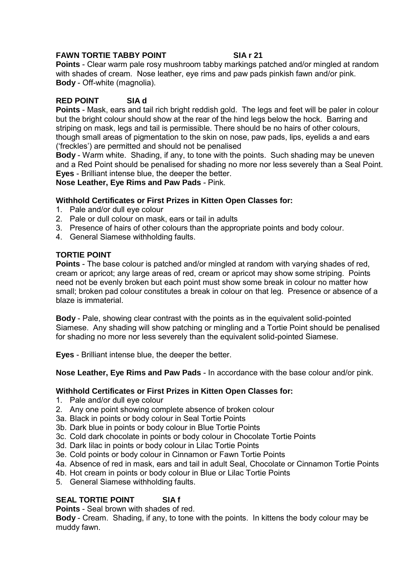### **FAWN TORTIE TABBY POINT SIA r 21**

**Points** - Clear warm pale rosy mushroom tabby markings patched and/or mingled at random with shades of cream. Nose leather, eye rims and paw pads pinkish fawn and/or pink. **Body** - Off-white (magnolia).

# **RED POINT SIA d**

**Points** - Mask, ears and tail rich bright reddish gold. The legs and feet will be paler in colour but the bright colour should show at the rear of the hind legs below the hock. Barring and striping on mask, legs and tail is permissible. There should be no hairs of other colours, though small areas of pigmentation to the skin on nose, paw pads, lips, eyelids a and ears ('freckles') are permitted and should not be penalised

**Body** - Warm white. Shading, if any, to tone with the points. Such shading may be uneven and a Red Point should be penalised for shading no more nor less severely than a Seal Point. **Eyes** - Brilliant intense blue, the deeper the better.

**Nose Leather, Eye Rims and Paw Pads** - Pink.

#### **Withhold Certificates or First Prizes in Kitten Open Classes for:**

- 1. Pale and/or dull eye colour
- 2. Pale or dull colour on mask, ears or tail in adults
- 3. Presence of hairs of other colours than the appropriate points and body colour.
- 4. General Siamese withholding faults.

### **TORTIE POINT**

**Points** - The base colour is patched and/or mingled at random with varying shades of red, cream or apricot; any large areas of red, cream or apricot may show some striping. Points need not be evenly broken but each point must show some break in colour no matter how small; broken pad colour constitutes a break in colour on that leg. Presence or absence of a blaze is immaterial.

**Body** - Pale, showing clear contrast with the points as in the equivalent solid-pointed Siamese. Any shading will show patching or mingling and a Tortie Point should be penalised for shading no more nor less severely than the equivalent solid-pointed Siamese.

**Eyes** - Brilliant intense blue, the deeper the better.

**Nose Leather, Eye Rims and Paw Pads** - In accordance with the base colour and/or pink.

### **Withhold Certificates or First Prizes in Kitten Open Classes for:**

- 1. Pale and/or dull eye colour
- 2. Any one point showing complete absence of broken colour
- 3a. Black in points or body colour in Seal Tortie Points
- 3b. Dark blue in points or body colour in Blue Tortie Points
- 3c. Cold dark chocolate in points or body colour in Chocolate Tortie Points
- 3d. Dark lilac in points or body colour in Lilac Tortie Points
- 3e. Cold points or body colour in Cinnamon or Fawn Tortie Points
- 4a. Absence of red in mask, ears and tail in adult Seal, Chocolate or Cinnamon Tortie Points
- 4b. Hot cream in points or body colour in Blue or Lilac Tortie Points
- 5. General Siamese withholding faults.

# **SEAL TORTIE POINT SIA f**

**Points** - Seal brown with shades of red.

**Body** - Cream. Shading, if any, to tone with the points. In kittens the body colour may be muddy fawn.